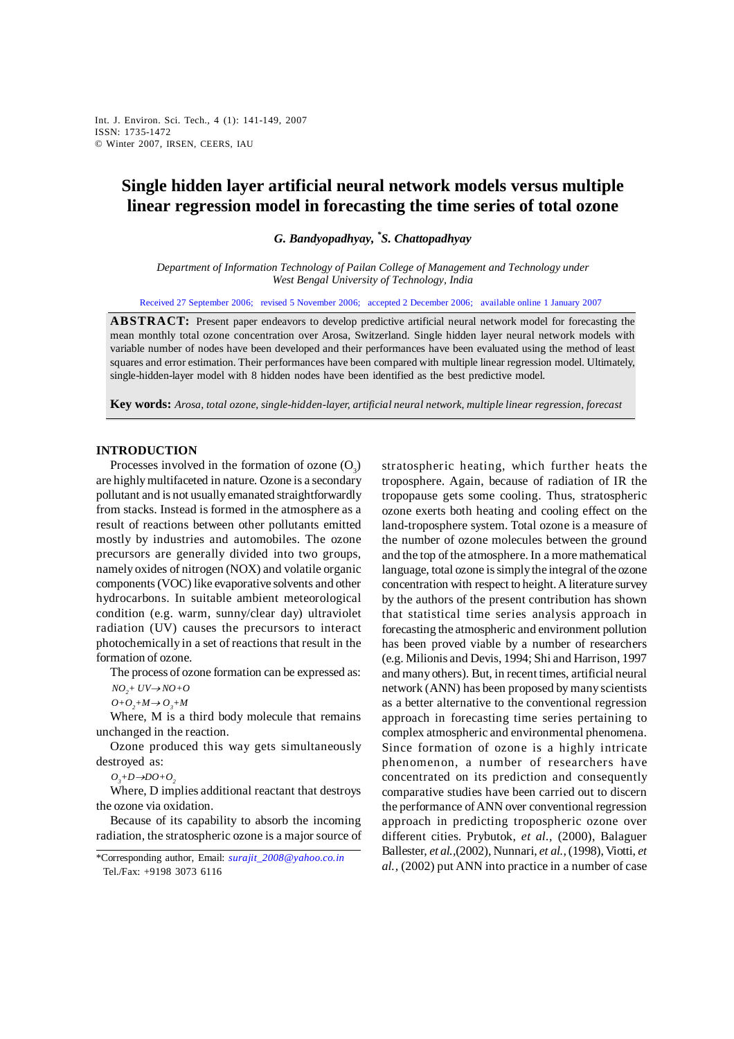*G. Bandyopadhyay and S. Chattopadhyay* Int. J. Environ. Sci. Tech., 4 (1): 141-149, 2007 ISSN: 1735-1472 © Winter 2007, IRSEN, CEERS, IAU

# **Single hidden layer artificial neural network models versus multiple linear regression model in forecasting the time series of total ozone**

*G. Bandyopadhyay, \* S. Chattopadhyay* 

*Department of Information Technology of Pailan College of Management and Technology under West Bengal University of Technology, India* 

Received 27 September 2006; revised 5 November 2006; accepted 2 December 2006; available online 1 January 2007

**ABSTRACT:** Present paper endeavors to develop predictive artificial neural network model for forecasting the mean monthly total ozone concentration over Arosa, Switzerland. Single hidden layer neural network models with variable number of nodes have been developed and their performances have been evaluated using the method of least squares and error estimation. Their performances have been compared with multiple linear regression model. Ultimately, single-hidden-layer model with 8 hidden nodes have been identified as the best predictive model.

**Key words:** *Arosa, total ozone, single-hidden-layer, artificial neural network, multiple linear regression, forecast*

## **INTRODUCTION**

Processes involved in the formation of ozone  $(O_3)$ are highly multifaceted in nature. Ozone is a secondary pollutant and is not usually emanated straightforwardly from stacks. Instead is formed in the atmosphere as a result of reactions between other pollutants emitted mostly by industries and automobiles. The ozone precursors are generally divided into two groups, namely oxides of nitrogen (NOX) and volatile organic components (VOC) like evaporative solvents and other hydrocarbons. In suitable ambient meteorological condition (e.g. warm, sunny/clear day) ultraviolet radiation (UV) causes the precursors to interact photochemically in a set of reactions that result in the formation of ozone.

The process of ozone formation can be expressed as:  $NO_2$  +  $UV\rightarrow NO+O$ 

 $O+O_2+M \rightarrow O_3+M$ 

Where, M is a third body molecule that remains unchanged in the reaction.

Ozone produced this way gets simultaneously destroyed as:

 $O_3$ +D→DO+ $O_2$ 

Where, D implies additional reactant that destroys the ozone via oxidation.

Because of its capability to absorb the incoming radiation, the stratospheric ozone is a major source of stratospheric heating, which further heats the troposphere. Again, because of radiation of IR the tropopause gets some cooling. Thus, stratospheric ozone exerts both heating and cooling effect on the land-troposphere system. Total ozone is a measure of the number of ozone molecules between the ground and the top of the atmosphere. In a more mathematical language, total ozone is simply the integral of the ozone concentration with respect to height. A literature survey by the authors of the present contribution has shown that statistical time series analysis approach in forecasting the atmospheric and environment pollution has been proved viable by a number of researchers (e.g. Milionis and Devis, 1994; Shi and Harrison, 1997 and many others). But, in recent times, artificial neural network (ANN) has been proposed by many scientists as a better alternative to the conventional regression approach in forecasting time series pertaining to complex atmospheric and environmental phenomena. Since formation of ozone is a highly intricate phenomenon, a number of researchers have concentrated on its prediction and consequently comparative studies have been carried out to discern the performance of ANN over conventional regression approach in predicting tropospheric ozone over different cities. Prybutok, *et al.,* (2000), Balaguer Ballester, *et al.,*(2002), Nunnari, *et al.,* (1998), Viotti, *et al.,* (2002) put ANN into practice in a number of case

<sup>\*</sup>Corresponding author, Email: *surajit\_2008@yahoo.co.in* Tel./Fax: +9198 3073 6116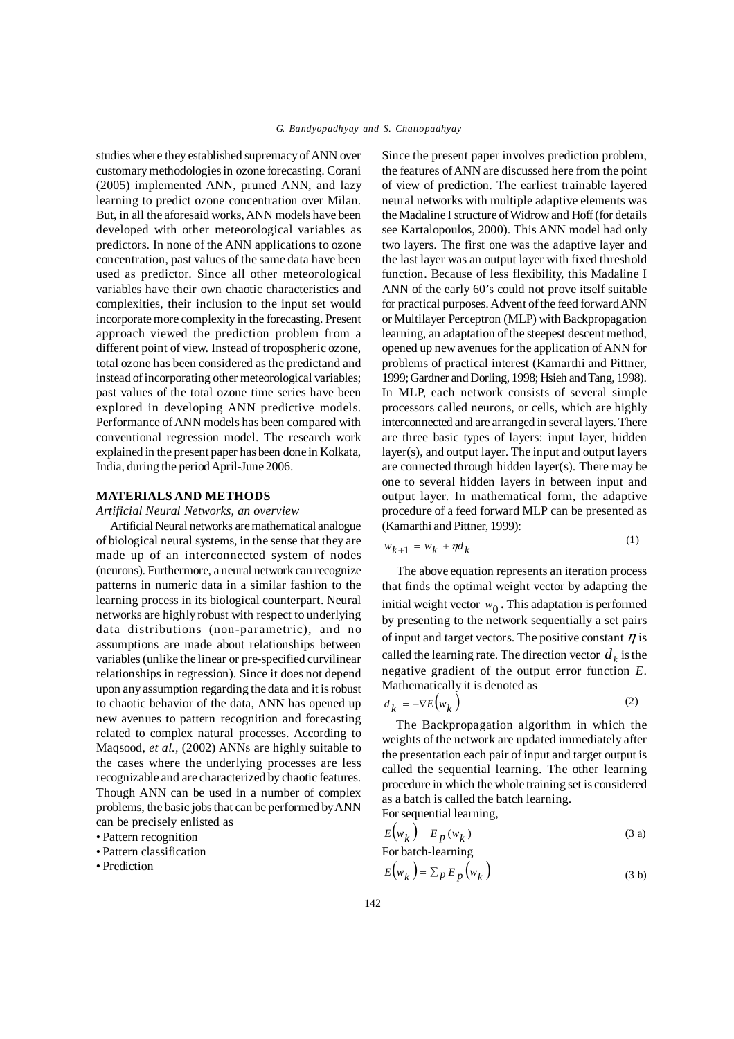studies where they established supremacy of ANN over customary methodologies in ozone forecasting. Corani (2005) implemented ANN, pruned ANN, and lazy learning to predict ozone concentration over Milan. But, in all the aforesaid works, ANN models have been developed with other meteorological variables as predictors. In none of the ANN applications to ozone concentration, past values of the same data have been used as predictor. Since all other meteorological variables have their own chaotic characteristics and complexities, their inclusion to the input set would incorporate more complexity in the forecasting. Present approach viewed the prediction problem from a different point of view. Instead of tropospheric ozone, total ozone has been considered as the predictand and instead of incorporating other meteorological variables; past values of the total ozone time series have been explored in developing ANN predictive models. Performance of ANN models has been compared with conventional regression model. The research work explained in the present paper has been done in Kolkata, India, during the period April-June 2006.

## **MATERIALS AND METHODS**

*Artificial Neural Networks, an overview*

Artificial Neural networks are mathematical analogue of biological neural systems, in the sense that they are made up of an interconnected system of nodes (neurons). Furthermore, a neural network can recognize patterns in numeric data in a similar fashion to the learning process in its biological counterpart. Neural networks are highly robust with respect to underlying data distributions (non-parametric), and no assumptions are made about relationships between variables (unlike the linear or pre-specified curvilinear relationships in regression). Since it does not depend upon any assumption regarding the data and it is robust to chaotic behavior of the data, ANN has opened up new avenues to pattern recognition and forecasting related to complex natural processes. According to Maqsood, *et al.,* (2002) ANNs are highly suitable to the cases where the underlying processes are less recognizable and are characterized by chaotic features. Though ANN can be used in a number of complex problems, the basic jobs that can be performed by ANN can be precisely enlisted as

• Pattern recognition

• Pattern classification

• Prediction

Since the present paper involves prediction problem, the features of ANN are discussed here from the point of view of prediction. The earliest trainable layered neural networks with multiple adaptive elements was the Madaline I structure of Widrow and Hoff (for details see Kartalopoulos, 2000). This ANN model had only two layers. The first one was the adaptive layer and the last layer was an output layer with fixed threshold function. Because of less flexibility, this Madaline I ANN of the early 60's could not prove itself suitable for practical purposes. Advent of the feed forward ANN or Multilayer Perceptron (MLP) with Backpropagation learning, an adaptation of the steepest descent method, opened up new avenues for the application of ANN for problems of practical interest (Kamarthi and Pittner, 1999; Gardner and Dorling, 1998; Hsieh and Tang, 1998). In MLP, each network consists of several simple processors called neurons, or cells, which are highly interconnected and are arranged in several layers. There are three basic types of layers: input layer, hidden layer(s), and output layer. The input and output layers are connected through hidden layer(s). There may be one to several hidden layers in between input and output layer. In mathematical form, the adaptive procedure of a feed forward MLP can be presented as (Kamarthi and Pittner, 1999):

$$
w_{k+1} = w_k + \eta d_k \tag{1}
$$

 $(1)$ 

 The above equation represents an iteration process that finds the optimal weight vector by adapting the initial weight vector  $w_0$ . This adaptation is performed by presenting to the network sequentially a set pairs of input and target vectors. The positive constant  $\eta$  is called the learning rate. The direction vector  $d<sub>k</sub>$  is the negative gradient of the output error function *E*. Mathematically it is denoted as

$$
d_k = -\nabla E(w_k) \tag{2}
$$

The Backpropagation algorithm in which the weights of the network are updated immediately after the presentation each pair of input and target output is called the sequential learning. The other learning procedure in which the whole training set is considered as a batch is called the batch learning. For sequential learning,

$$
E(w_k) = E_p(w_k)
$$
 (3 a)

For batch-learning  
\n
$$
E(w_k) = \sum_{p} E_p(w_k)
$$
\n(3 b)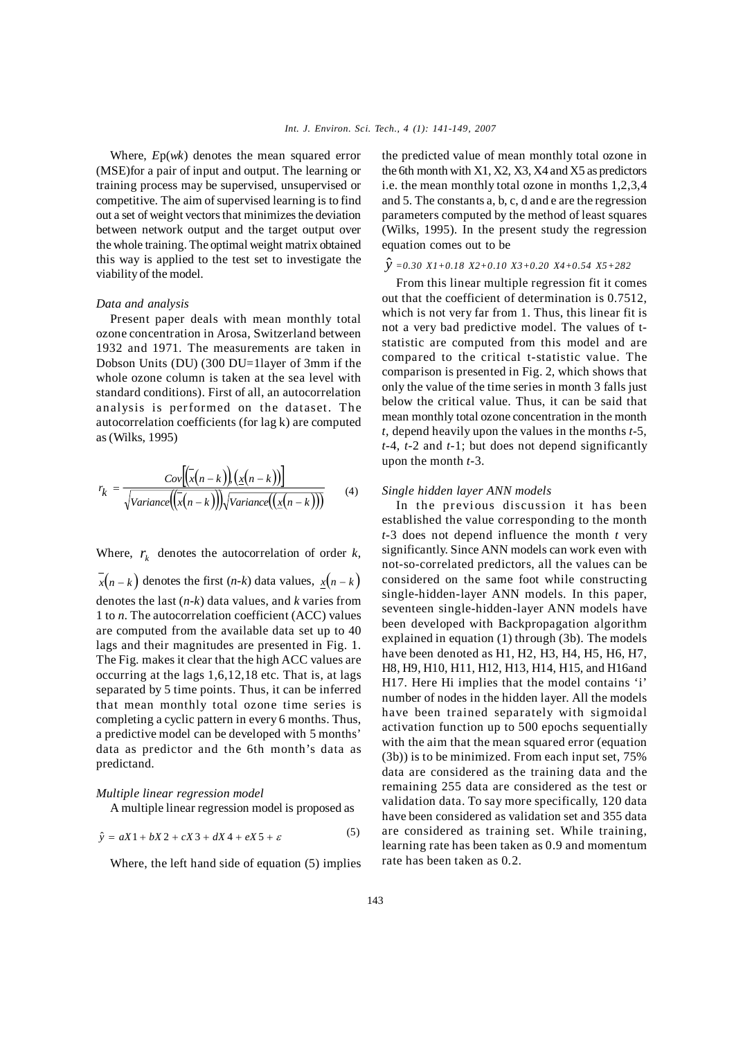Where, *E*p(*wk*) denotes the mean squared error (MSE)for a pair of input and output. The learning or training process may be supervised, unsupervised or competitive. The aim of supervised learning is to find out a set of weight vectors that minimizes the deviation between network output and the target output over the whole training. The optimal weight matrix obtained this way is applied to the test set to investigate the viability of the model.

## *Data and analysis*

Present paper deals with mean monthly total ozone concentration in Arosa, Switzerland between 1932 and 1971. The measurements are taken in Dobson Units (DU) (300 DU=1layer of 3mm if the whole ozone column is taken at the sea level with standard conditions). First of all, an autocorrelation analysis is performed on the dataset. The autocorrelation coefficients (for lag k) are computed as (Wilks, 1995)

$$
r_k = \frac{Cov[(x(n-k))(x(n-k))]}{\sqrt{Variance((x(n-k))}\sqrt{Variance((x(n-k))})}}
$$
(4)

Where,  $r_k$  denotes the autocorrelation of order  $k$ ,  $x(n-k)$  denotes the first  $(n-k)$  data values,  $x(n-k)$ denotes the last (*n-k*) data values, and *k* varies from 1 to *n*. The autocorrelation coefficient (ACC) values are computed from the available data set up to 40 lags and their magnitudes are presented in Fig. 1. The Fig. makes it clear that the high ACC values are occurring at the lags 1,6,12,18 etc. That is, at lags separated by 5 time points. Thus, it can be inferred that mean monthly total ozone time series is completing a cyclic pattern in every 6 months. Thus, a predictive model can be developed with 5 months' data as predictor and the 6th month's data as predictand.

## *Multiple linear regression model*

A multiple linear regression model is proposed as

$$
\hat{y} = aX1 + bX2 + cX3 + dX4 + eX5 + \varepsilon
$$
\n(5)

Where, the left hand side of equation (5) implies

the predicted value of mean monthly total ozone in the 6th month with X1, X2, X3, X4 and X5 as predictors i.e. the mean monthly total ozone in months 1,2,3,4 and 5. The constants a, b, c, d and e are the regression parameters computed by the method of least squares (Wilks, 1995). In the present study the regression equation comes out to be

## $\hat{y}$  =0.30 X1+0.18 X2+0.10 X3+0.20 X4+0.54 X5+282

From this linear multiple regression fit it comes out that the coefficient of determination is 0.7512, which is not very far from 1. Thus, this linear fit is not a very bad predictive model. The values of tstatistic are computed from this model and are compared to the critical t-statistic value. The comparison is presented in Fig. 2, which shows that only the value of the time series in month 3 falls just below the critical value. Thus, it can be said that mean monthly total ozone concentration in the month *t,* depend heavily upon the values in the months *t*-5, *t-*4, *t-*2 and *t-*1; but does not depend significantly upon the month *t-*3.

# *Single hidden layer ANN models*

In the previous discussion it has been established the value corresponding to the month *t-*3 does not depend influence the month *t* very significantly. Since ANN models can work even with not-so-correlated predictors, all the values can be considered on the same foot while constructing single-hidden-layer ANN models. In this paper, seventeen single-hidden-layer ANN models have been developed with Backpropagation algorithm explained in equation (1) through (3b). The models have been denoted as H1, H2, H3, H4, H5, H6, H7, H8, H9, H10, H11, H12, H13, H14, H15, and H16and H17. Here Hi implies that the model contains 'i' number of nodes in the hidden layer. All the models have been trained separately with sigmoidal activation function up to 500 epochs sequentially with the aim that the mean squared error (equation (3b)) is to be minimized. From each input set, 75% data are considered as the training data and the remaining 255 data are considered as the test or validation data. To say more specifically, 120 data have been considered as validation set and 355 data are considered as training set. While training, learning rate has been taken as 0.9 and momentum rate has been taken as 0.2.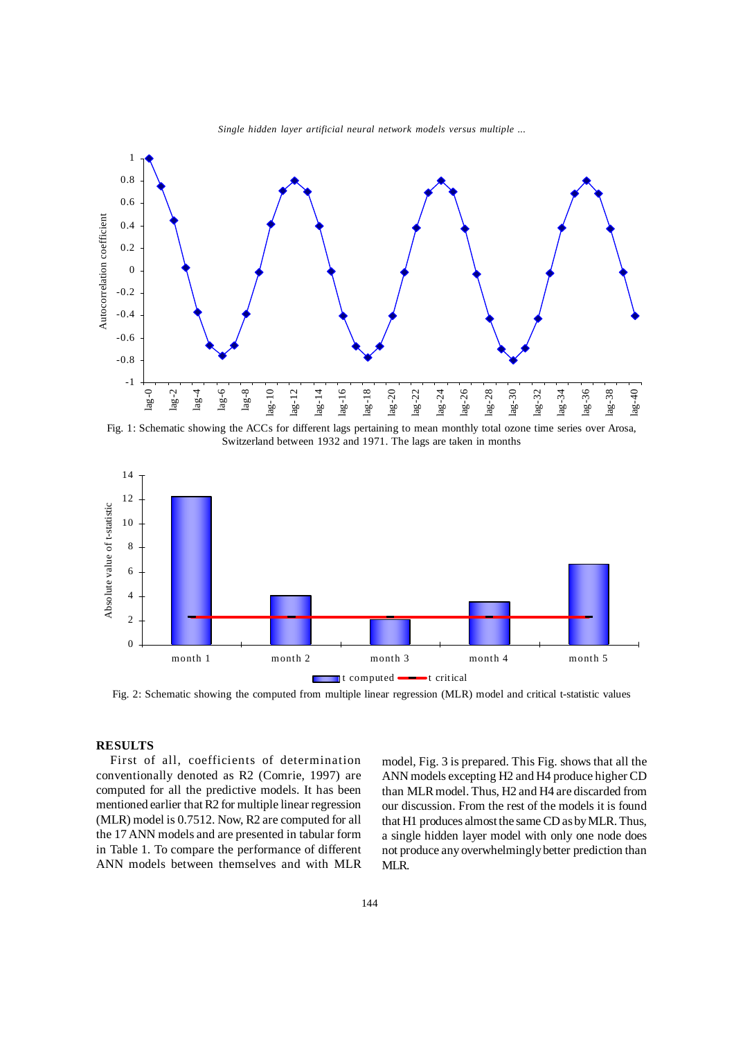

*G. Bandyopadhyay and S. Chattopadhyay Single hidden layer artificial neural network models versus multiple ...*

Fig. 1: Schematic showing the ACCs for different lags pertaining to mean monthly total ozone time series over Arosa, Switzerland between 1932 and 1971. The lags are taken in months



Fig. 2: Schematic showing the computed from multiple linear regression (MLR) model and critical t-statistic values

# **RESULTS**

First of all, coefficients of determination conventionally denoted as R2 (Comrie, 1997) are computed for all the predictive models. It has been mentioned earlier that R2 for multiple linear regression (MLR) model is 0.7512. Now, R2 are computed for all the 17 ANN models and are presented in tabular form in Table 1. To compare the performance of different ANN models between themselves and with MLR model, Fig. 3 is prepared. This Fig. shows that all the ANN models excepting H2 and H4 produce higher CD than MLR model. Thus, H2 and H4 are discarded from our discussion. From the rest of the models it is found that H1 produces almost the same CD as by MLR. Thus, a single hidden layer model with only one node does not produce any overwhelmingly better prediction than MLR.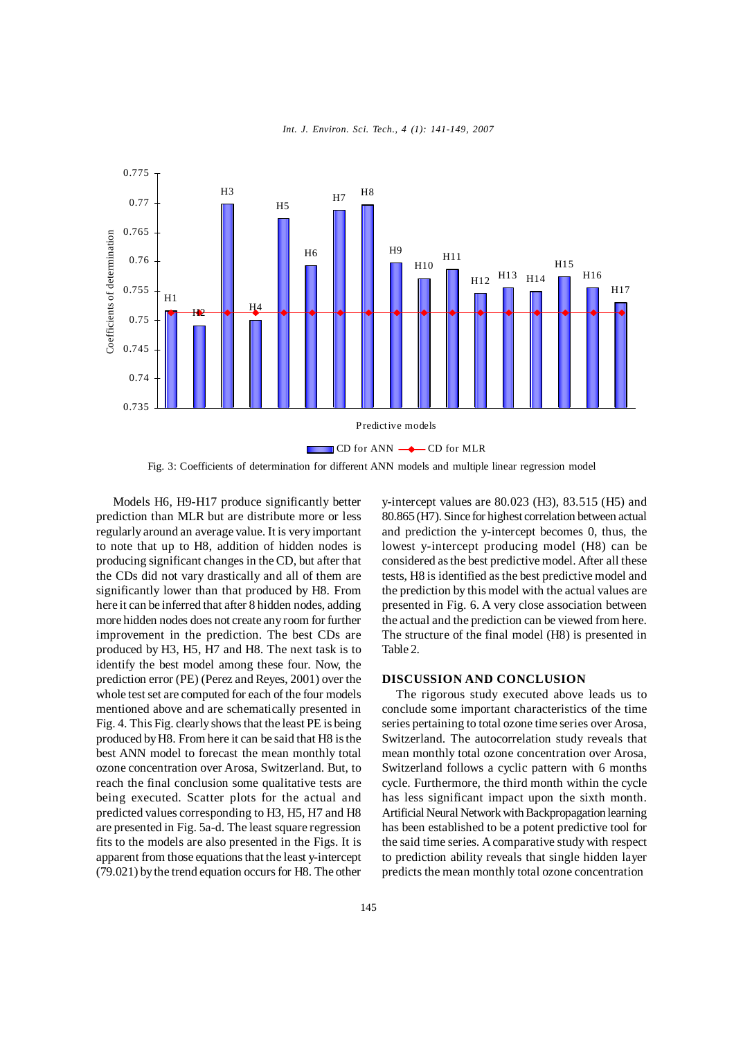

*Int. J. Environ. Sci. Tech., 4 (1): 141-149, 2007* 

Fig. 3: Coefficients of determination for different ANN models and multiple linear regression model

 Models H6, H9-H17 produce significantly better prediction than MLR but are distribute more or less regularly around an average value. It is very important to note that up to H8, addition of hidden nodes is producing significant changes in the CD, but after that the CDs did not vary drastically and all of them are significantly lower than that produced by H8. From here it can be inferred that after 8 hidden nodes, adding more hidden nodes does not create any room for further improvement in the prediction. The best CDs are produced by H3, H5, H7 and H8. The next task is to identify the best model among these four. Now, the prediction error (PE) (Perez and Reyes, 2001) over the whole test set are computed for each of the four models mentioned above and are schematically presented in Fig. 4. This Fig. clearly shows that the least PE is being produced by H8. From here it can be said that H8 is the best ANN model to forecast the mean monthly total ozone concentration over Arosa, Switzerland. But, to reach the final conclusion some qualitative tests are being executed. Scatter plots for the actual and predicted values corresponding to H3, H5, H7 and H8 are presented in Fig. 5a-d. The least square regression fits to the models are also presented in the Figs. It is apparent from those equations that the least y-intercept (79.021) by the trend equation occurs for H8. The other y-intercept values are 80.023 (H3), 83.515 (H5) and 80.865 (H7). Since for highest correlation between actual and prediction the y-intercept becomes 0, thus, the lowest y-intercept producing model (H8) can be considered as the best predictive model. After all these tests, H8 is identified as the best predictive model and the prediction by this model with the actual values are presented in Fig. 6. A very close association between the actual and the prediction can be viewed from here. The structure of the final model (H8) is presented in Table 2.

#### **DISCUSSION AND CONCLUSION**

The rigorous study executed above leads us to conclude some important characteristics of the time series pertaining to total ozone time series over Arosa, Switzerland. The autocorrelation study reveals that mean monthly total ozone concentration over Arosa, Switzerland follows a cyclic pattern with 6 months cycle. Furthermore, the third month within the cycle has less significant impact upon the sixth month. Artificial Neural Network with Backpropagation learning has been established to be a potent predictive tool for the said time series. A comparative study with respect to prediction ability reveals that single hidden layer predicts the mean monthly total ozone concentration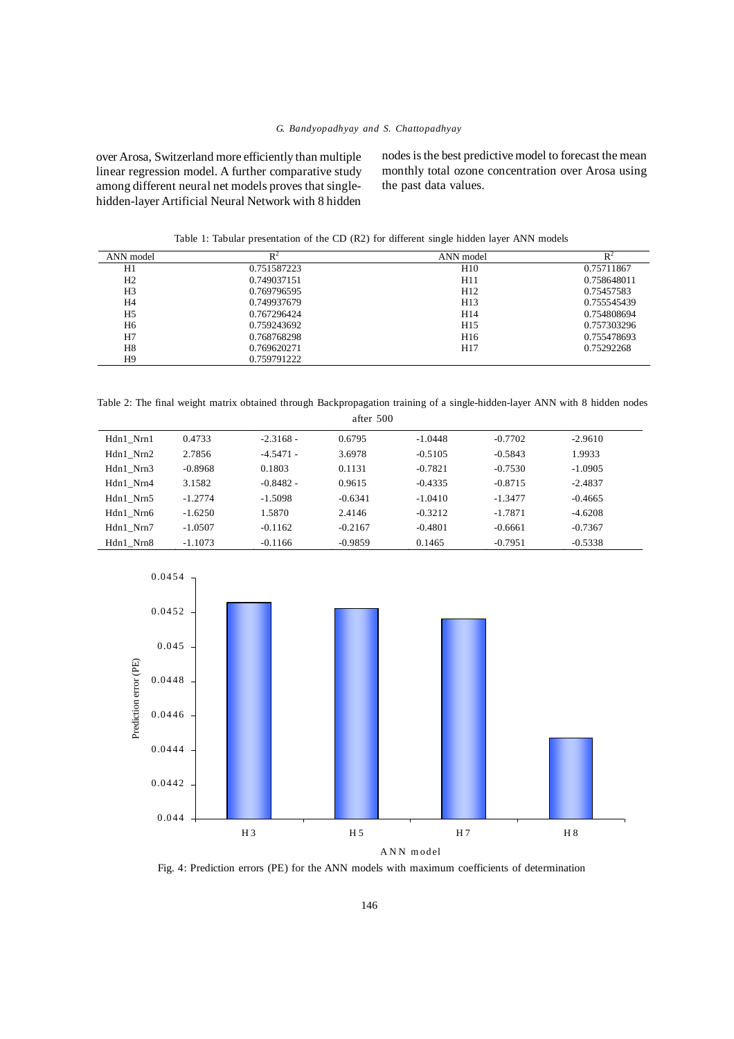over Arosa, Switzerland more efficiently than multiple linear regression model. A further comparative study among different neural net models proves that singlehidden-layer Artificial Neural Network with 8 hidden

nodes is the best predictive model to forecast the mean monthly total ozone concentration over Arosa using the past data values.

Table 1: Tabular presentation of the CD (R2) for different single hidden layer ANN models

| ANN model      | $R^2$       | ANN model       | $\mathsf{R}^2$ |
|----------------|-------------|-----------------|----------------|
| H1             | 0.751587223 | H <sub>10</sub> | 0.75711867     |
| H <sub>2</sub> | 0.749037151 | H11             | 0.758648011    |
| H <sub>3</sub> | 0.769796595 | H <sub>12</sub> | 0.75457583     |
| H4             | 0.749937679 | H <sub>13</sub> | 0.755545439    |
| H <sub>5</sub> | 0.767296424 | H14             | 0.754808694    |
| H6             | 0.759243692 | H <sub>15</sub> | 0.757303296    |
| H7             | 0.768768298 | H <sub>16</sub> | 0.755478693    |
| H8             | 0.769620271 | H <sub>17</sub> | 0.75292268     |
| H <sub>9</sub> | 0.759791222 |                 |                |

Table 2: The final weight matrix obtained through Backpropagation training of a single-hidden-layer ANN with 8 hidden nodes

| after 500 |           |             |           |           |           |           |  |  |  |
|-----------|-----------|-------------|-----------|-----------|-----------|-----------|--|--|--|
| Hdn1 Nrn1 | 0.4733    | $-2.3168 -$ | 0.6795    | $-1.0448$ | $-0.7702$ | $-2.9610$ |  |  |  |
| Hdn1 Nrn2 | 2.7856    | $-4.5471 -$ | 3.6978    | $-0.5105$ | $-0.5843$ | 1.9933    |  |  |  |
| Hdn1 Nrn3 | $-0.8968$ | 0.1803      | 0.1131    | $-0.7821$ | $-0.7530$ | $-1.0905$ |  |  |  |
| Hdn1 Nrn4 | 3.1582    | $-0.8482 -$ | 0.9615    | $-0.4335$ | $-0.8715$ | $-2.4837$ |  |  |  |
| Hdn1 Nrn5 | $-1.2774$ | $-1.5098$   | $-0.6341$ | $-1.0410$ | $-1.3477$ | $-0.4665$ |  |  |  |
| Hdn1 Nrn6 | $-1.6250$ | 1.5870      | 2.4146    | $-0.3212$ | $-1.7871$ | $-4.6208$ |  |  |  |
| Hdn1 Nrn7 | $-1.0507$ | $-0.1162$   | $-0.2167$ | $-0.4801$ | $-0.6661$ | $-0.7367$ |  |  |  |
| Hdn1 Nrn8 | $-1.1073$ | $-0.1166$   | $-0.9859$ | 0.1465    | $-0.7951$ | $-0.5338$ |  |  |  |



Fig. 4: Prediction errors (PE) for the ANN models with maximum coefficients of determination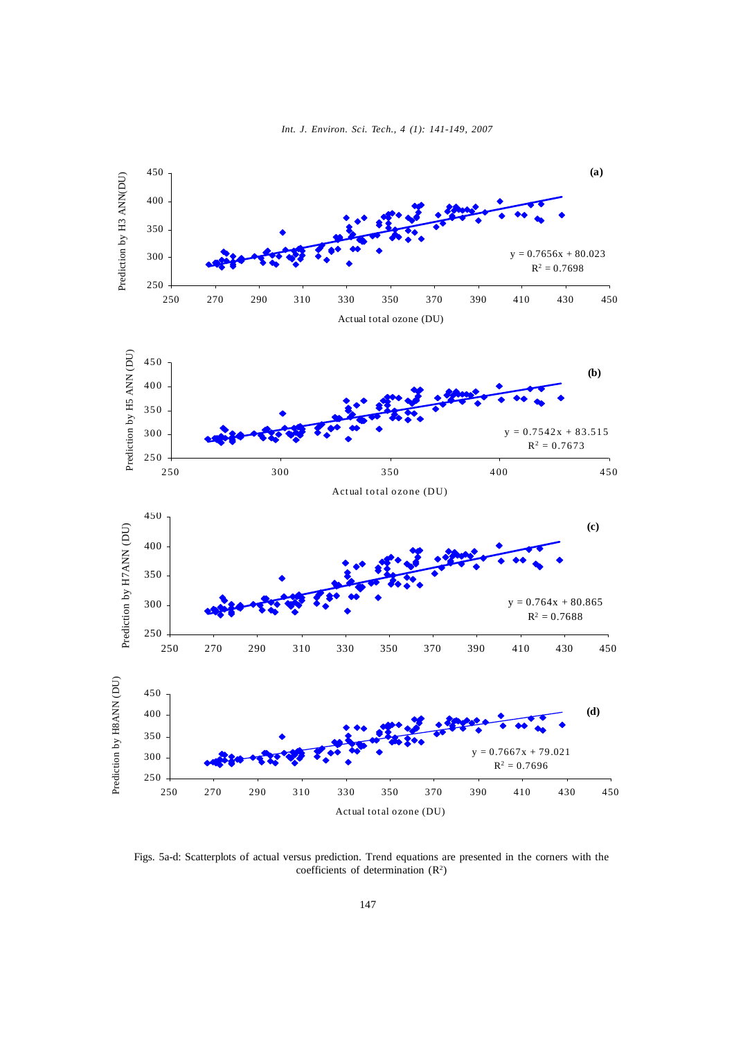

Prediction by H8ANN (DU) Prediction by H8ANN (DU) 350  $y = 0.7667x + 79.021$ 300  $R^2 = 0.7696$ 250 250 270 290 310 330 350 370 390 410 430 450 Actual total ozone (DU)

400 450

250 270 290 310 330 350 370 390 410 430 450

**(d)**

Figs. 5a-d: Scatterplots of actual versus prediction. Trend equations are presented in the corners with the coefficients of determination  $(R^2)$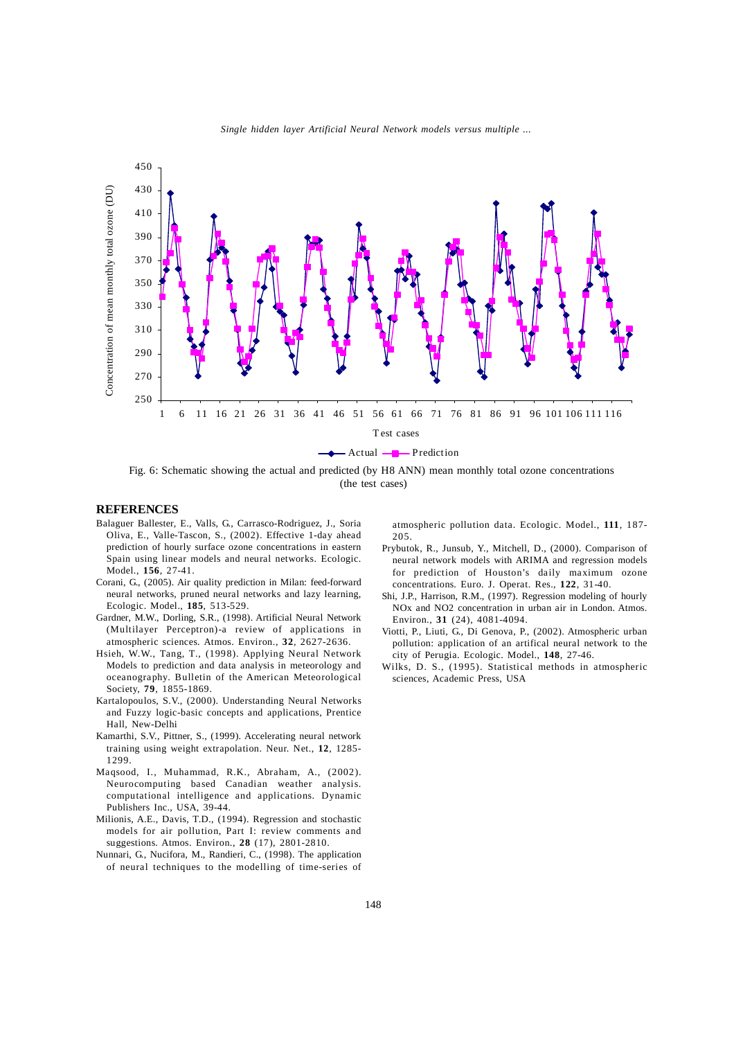

*G. Bandyopadhyay and S. Chattopadhyay Single hidden layer Artificial Neural Network models versus multiple ...*

Fig. 6: Schematic showing the actual and predicted (by H8 ANN) mean monthly total ozone concentrations (the test cases)

# **REFERENCES**

- Balaguer Ballester, E., Valls, G., Carrasco-Rodriguez, J., Soria Oliva, E., Valle-Tascon, S., (2002). Effective 1-day ahead prediction of hourly surface ozone concentrations in eastern Spain using linear models and neural networks. Ecologic. Model., **156**, 27-41.
- Corani, G., (2005). Air quality prediction in Milan: feed-forward neural networks, pruned neural networks and lazy learning, Ecologic. Model., **185**, 513-529.
- Gardner, M.W., Dorling, S.R., (1998). Artificial Neural Network (Multilayer Perceptron)-a review of applications in atmospheric sciences. Atmos. Environ., **32**, 2627-2636.
- Hsieh, W.W., Tang, T., (1998). Applying Neural Network Models to prediction and data analysis in meteorology and oceanography. Bulletin of the American Meteorological Society, **79**, 1855-1869.
- Kartalopoulos, S.V., (2000). Understanding Neural Networks and Fuzzy logic-basic concepts and applications, Prentice Hall, New-Delhi
- Kamarthi, S.V., Pittner, S., (1999). Accelerating neural network training using weight extrapolation. Neur. Net., **12**, 1285- 1299.
- Maqsood, I., Muhammad, R.K., Abraham, A., (2002). Neurocomputing based Canadian weather analysis. computational intelligence and applications. Dynamic Publishers Inc., USA, 39-44.
- Milionis, A.E., Davis, T.D., (1994). Regression and stochastic models for air pollution, Part I: review comments and suggestions. Atmos. Environ., **28** (17), 2801-2810.
- Nunnari, G., Nucifora, M., Randieri, C., (1998). The application of neural techniques to the modelling of time-series of

atmospheric pollution data. Ecologic. Model., **111**, 187- 205.

- Prybutok, R., Junsub, Y., Mitchell, D., (2000). Comparison of neural network models with ARIMA and regression models for prediction of Houston's daily maximum ozone concentrations. Euro. J. Operat. Res., **122**, 31-40.
- Shi, J.P., Harrison, R.M., (1997). Regression modeling of hourly NOx and NO2 concentration in urban air in London. Atmos. Environ., **31** (24), 4081-4094.
- Viotti, P., Liuti, G., Di Genova, P., (2002). Atmospheric urban pollution: application of an artifical neural network to the city of Perugia. Ecologic. Model., **148**, 27-46.
- Wilks, D. S., (1995). Statistical methods in atmospheric sciences, Academic Press, USA